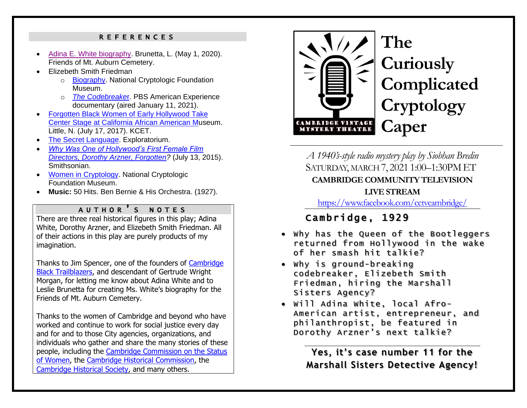#### R E F E R E N C E S

- [Adina E. White biography.](https://mountauburn.org/adina-e-white-1861-1930/) Brunetta, L. (May 1, 2020). Friends of Mt. Auburn Cemetery.
- Elizebeth Smith Friedman
	- o [Biography.](https://cryptologicfoundation.org/what-we-do/educate/bytes/this_day_in_history_calendar.html/event/2018/08/26/1535259600/1892-elizebeth-smith-friedman-birth-date/77130) National Cryptologic Foundation Museum.
	- o *[The Codebreake](https://www.pbs.org/wgbh/americanexperience/films/codebreaker/)*r. PBS American Experience documentary (aired January 11, 2021).
- [Forgotten Black Women of Early Hollywood Take](https://www.kcet.org/shows/artbound/forgotten-black-women-of-early-hollywood-take-center-stage-at-caam)  [Center Stage at California African American Mu](https://www.kcet.org/shows/artbound/forgotten-black-women-of-early-hollywood-take-center-stage-at-caam)seum. Little, N. (July 17, 2017). KCET.
- [The Secret Language.](https://www.exploratorium.edu/ronh/secret/secret.html) Exploratorium.
- *[Why Was One of Hollywood's First Female Film](•%09http:/www.smithsonianmag.com/smart-news/1920s-dorothy-arzner-paved-way-female-directors-today-180955904/?no-ist)  [Directors, Dorothy Arzner, Forgotten?](•%09http:/www.smithsonianmag.com/smart-news/1920s-dorothy-arzner-paved-way-female-directors-today-180955904/?no-ist)* (July 13, 2015). Smithsonian.
- [Women in Cryptology.](https://cryptologicfoundation.org/what-we-do/stimulate/women-in-cryptology.html) National Cryptologic Foundation Museum.
- **Music:** 50 Hits. Ben Bernie & His Orchestra. (1927).

#### A U T H O R ' S NOTE S

There are three real historical figures in this play; Adina White, Dorothy Arzner, and Elizebeth Smith Friedman. All of their actions in this play are purely products of my imagination.

Thanks to Jim Spencer, one of the founders of [Cambridge](https://www.cambridgeblacktrailblazers.com/)  [Black Trailblazers,](https://www.cambridgeblacktrailblazers.com/) and descendant of Gertrude Wright Morgan, for letting me know about Adina White and to Leslie Brunetta for creating Ms. White's biography for the Friends of Mt. Auburn Cemetery.

Thanks to the women of Cambridge and beyond who have worked and continue to work for social justice every day and for and to those City agencies, organizations, and individuals who gather and share the many stories of these people, including the [Cambridge Commission](https://www.cambridgewomenscommission.org/) on the Status [of Women,](https://www.cambridgewomenscommission.org/) the [Cambridge Historical Commission,](https://www.cambridgema.gov/historic) the [Cambridge Historical Society,](https://cambridgehistory.org/) and many others.



# **The Curiously Complicated Cryptology Caper**

*A 1940's-style radio mystery play by Siobhan Bredin* SATURDAY, MARCH 7, 2021 1:00–1:30PM ET **CAMBRIDGE COMMUNITY TELEVISION LIVE STREAM** 

<https://www.facebook.com/cctvcambridge/>

## Cambridge, 192 9

- Why has the Queen of the Bootleggers returned from Hollywood in the wake of her smash hit talkie?
- Why is ground-breaking codebreaker, Elizebeth Smith Friedman, hiring the Marshall Sisters Agency?
- Will Adina White, local Afro-American artist, entrepreneur, and philanthropist, be featured in Dorothy Arzner's next talkie?

**Yes, it's case number 11 for the Marshall Sisters Detective Agency!**